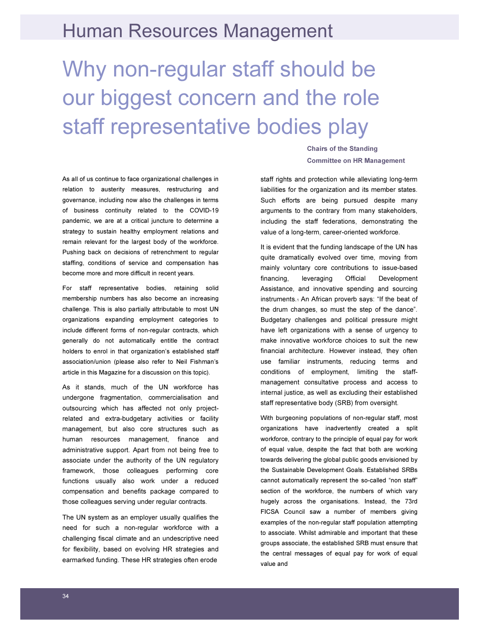## Human Resources Management

## Why non-regular staff should be our biggest concern and the role staff representative bodies play

As all of us continue to face organizational challenges in relation to austerity measures, restructuring and governance, including now also the challenges in terms of business continuity related to the COVID-19 pandemic, we are at a critical juncture to determine a strategy to sustain healthy employment relations and remain relevant for the largest body of the workforce. Pushing back on decisions of retrenchment to regular staffing, conditions of service and compensation has become more and more difficult in recent years.

For staff representative bodies, retaining solid membership numbers has also become an increasing challenge. This is also partially attributable to most UN organizations expanding employment categories to include different forms of non-regular contracts, which generally do not automatically entitle the contract holders to enrol in that organization's established staff association/union (please also refer to Neil Fishman's article in this Magazine for a discussion on this topic).

As it stands, much of the UN workforce has undergone fragmentation, commercialisation and outsourcing which has affected not only projectrelated and extra-budgetary activities or facility management, but also core structures such as human resources management, finance and administrative support. Apart from not being free to associate under the authority of the UN regulatory framework, those colleagues performing core functions usually also work under a reduced compensation and benefits package compared to those colleagues serving under regular contracts.

The UN system as an employer usually qualifies the need for such a non-regular workforce with a challenging fiscal climate and an undescriptive need for flexibility, based on evolving HR strategies and earmarked funding. These HR strategies often erode

Chairs of the Standing Committee on HR Management

staff rights and protection while alleviating long-term liabilities for the organization and its member states. Such efforts are being pursued despite many arguments to the contrary from many stakeholders, including the staff federations, demonstrating the value of a long-term, career-oriented workforce.

It is evident that the funding landscape of the UN has quite dramatically evolved over time, moving from mainly voluntary core contributions to issue-based financing, leveraging Official Development Assistance, and innovative spending and sourcing instruments.1 An African proverb says: "If the beat of the drum changes, so must the step of the dance". Budgetary challenges and political pressure might have left organizations with a sense of urgency to make innovative workforce choices to suit the new financial architecture. However instead, they often use familiar instruments, reducing terms and conditions of employment, limiting the staffmanagement consultative process and access to internal justice, as well as excluding their established staff representative body (SRB) from oversight.

With burgeoning populations of non-regular staff, most organizations have inadvertently created a split workforce, contrary to the principle of equal pay for work of equal value, despite the fact that both are working towards delivering the global public goods envisioned by the Sustainable Development Goals. Established SRBs cannot automatically represent the so-called "non staff" section of the workforce, the numbers of which vary hugely across the organisations. Instead, the 73rd FICSA Council saw a number of members giving examples of the non-regular staff population attempting to associate. Whilst admirable and important that these groups associate, the established SRB must ensure that the central messages of equal pay for work of equal value and